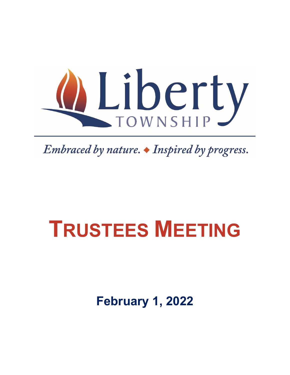

Embraced by nature.  $\bullet$  Inspired by progress.

# **TRUSTEES MEETING**

**February 1, 2022**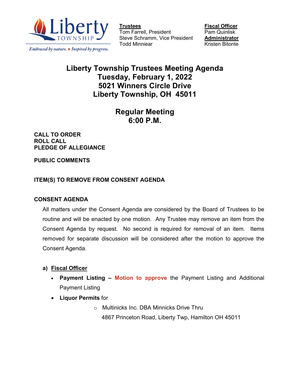

Embraced by nature. • Inspired by progress.

Tom Farrell, President Steve Schramm, Vice President **Administrator** Todd Minniear **Kristen Bitonte** 

**<u>Fiscal Officer</u><br>Pam Quinlisk** 

## **Liberty Township Trustees Meeting Agenda Tuesday, February 1, 2022 5021 Winners Circle Drive Liberty Township, OH 45011**

## **Regular Meeting 6:00 P.M.**

**CALL TO ORDER ROLL CALL PLEDGE OF ALLEGIANCE**

**PUBLIC COMMENTS**

#### **ITEM(S) TO REMOVE FROM CONSENT AGENDA**

#### **CONSENT AGENDA**

All matters under the Consent Agenda are considered by the Board of Trustees to be routine and will be enacted by one motion. Any Trustee may remove an item from the Consent Agenda by request. No second is required for removal of an item. Items removed for separate discussion will be considered after the motion to approve the Consent Agenda.

- **a) Fiscal Officer**
	- **Payment Listing – Motion to approve** the Payment Listing and Additional Payment Listing
	- **Liquor Permits** for
		- o Multinicks Inc. DBA Minnicks Drive Thru 4867 Princeton Road, Liberty Twp, Hamilton OH 45011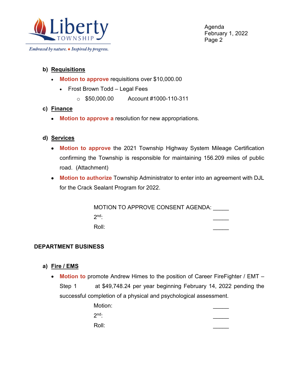

Embraced by nature. • Inspired by progress.

Agenda February 1, 2022 Page 2

#### **b) Requisitions**

- **Motion to approve** requisitions over \$10,000.00
	- Frost Brown Todd Legal Fees
		- o \$50,000.00 Account #1000-110-311
- **c) Finance**
	- **Motion to approve a** resolution for new appropriations.

#### **d) Services**

- **Motion to approve** the 2021 Township Highway System Mileage Certification confirming the Township is responsible for maintaining 156.209 miles of public road. (Attachment)
- **Motion to authorize** Township Administrator to enter into an agreement with DJL for the Crack Sealant Program for 2022.

MOTION TO APPROVE CONSENT AGENDA:  $2<sup>nd</sup>$ : Roll: \_\_\_\_\_

#### **DEPARTMENT BUSINESS**

- **a) Fire / EMS**
	- **Motion to** promote Andrew Himes to the position of Career FireFighter / EMT Step 1 at \$49,748.24 per year beginning February 14, 2022 pending the successful completion of a physical and psychological assessment.

| Motion: |  |
|---------|--|
| $2nd$ : |  |
| Roll:   |  |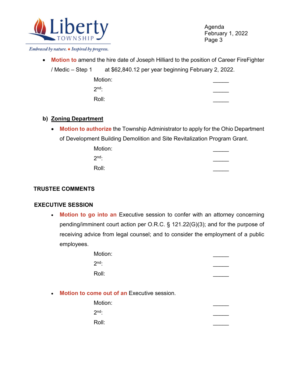

Agenda February 1, 2022 Page 3

Embraced by nature. • Inspired by progress.

• **Motion to** amend the hire date of Joseph Hilliard to the position of Career FireFighter

/ Medic – Step 1 at \$62,840.12 per year beginning February 2, 2022.

| Motion: |  |
|---------|--|
| $2nd$ : |  |
| Roll:   |  |

#### **b) Zoning Department**

• **Motion to authorize** the Township Administrator to apply for the Ohio Department of Development Building Demolition and Site Revitalization Program Grant.

| Motion: |  |
|---------|--|
| $2nd$ : |  |
| Roll:   |  |

#### **TRUSTEE COMMENTS**

#### **EXECUTIVE SESSION**

• **Motion to go into an** Executive session to confer with an attorney concerning pending/imminent court action per O.R.C. § 121.22(G)(3); and for the purpose of receiving advice from legal counsel; and to consider the employment of a public employees.

| Motion: |  |
|---------|--|
| $2nd$ : |  |
| Roll:   |  |

• **Motion to come out of an** Executive session.

| Motion: |  |
|---------|--|
| $2nd$ : |  |
| Roll:   |  |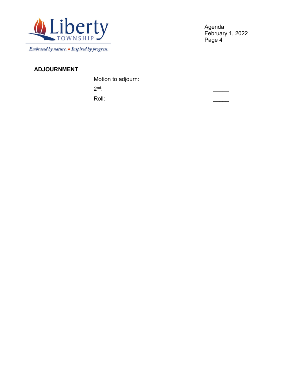

Embraced by nature. • Inspired by progress.

Agenda February 1, 2022 Page 4

### **ADJOURNMENT**

| Motion to adjourn: |  |
|--------------------|--|
| $2nd$ :            |  |
| Roll:              |  |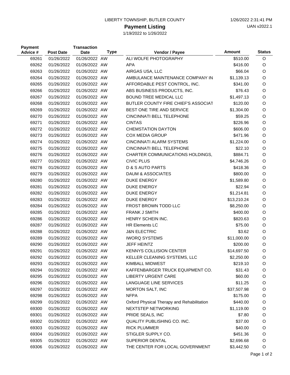#### LIBERTY TOWNSHIP, BUTLER COUNTY 1/26/2022 2:31:41 PM

#### **Payment Listing**

1/19/2022 to 1/26/2022

| <b>Payment</b><br>Advice # | <b>Post Date</b> | <b>Transaction</b><br><b>Date</b> | <b>Type</b> | Vendor / Payee                             | <b>Amount</b> | <b>Status</b> |
|----------------------------|------------------|-----------------------------------|-------------|--------------------------------------------|---------------|---------------|
| 69261                      | 01/26/2022       | 01/26/2022 AW                     |             | ALI WOLFE PHOTOGRAPHY                      | \$510.00      | O             |
| 69262                      | 01/26/2022       | 01/26/2022 AW                     |             | <b>APA</b>                                 | \$416.00      | O             |
| 69263                      | 01/26/2022       | 01/26/2022 AW                     |             | AIRGAS USA, LLC                            | \$66.04       | O             |
| 69264                      | 01/26/2022       | 01/26/2022 AW                     |             | AMBULANCE MAINTENANCE COMPANY IN           | \$1,139.13    | O             |
| 69265                      | 01/26/2022       | 01/26/2022 AW                     |             | AFFORDABLE PEST CONTROL, INC.              | \$341.00      | O             |
| 69266                      | 01/26/2022       | 01/26/2022 AW                     |             | ABS BUSINESS PRODUCTS, INC.                | \$76.43       | $\circ$       |
| 69267                      | 01/26/2022       | 01/26/2022 AW                     |             | <b>BOUND TREE MEDICAL LLC</b>              | \$1,497.13    | O             |
| 69268                      | 01/26/2022       | 01/26/2022 AW                     |             | BUTLER COUNTY FIRE CHIEF'S ASSOCIAT        | \$120.00      | O             |
| 69269                      | 01/26/2022       | 01/26/2022 AW                     |             | BEST ONE TIRE AND SERVICE                  | \$1,304.00    | O             |
| 69270                      | 01/26/2022       | 01/26/2022 AW                     |             | CINCINNATI BELL TELEPHONE                  | \$59.25       | O             |
| 69271                      | 01/26/2022       | 01/26/2022 AW                     |             | <b>CINTAS</b>                              | \$226.96      | O             |
| 69272                      | 01/26/2022       | 01/26/2022 AW                     |             | <b>CHEMSTATION DAYTON</b>                  | \$606.00      | O             |
| 69273                      | 01/26/2022       | 01/26/2022 AW                     |             | <b>COX MEDIA GROUP</b>                     | \$471.96      | O             |
| 69274                      | 01/26/2022       | 01/26/2022 AW                     |             | <b>CINCINNATI ALARM SYSTEMS</b>            | \$1,224.00    | O             |
| 69275                      | 01/26/2022       | 01/26/2022 AW                     |             | CINCINNATI BELL TELEPHONE                  | \$22.10       | O             |
| 69276                      | 01/26/2022       | 01/26/2022 AW                     |             | CHARTER COMMUNICATIONS HOLDINGS,           | \$884.71      | O             |
| 69277                      | 01/26/2022       | 01/26/2022 AW                     |             | <b>CIVIC PLUS</b>                          | \$4,746.26    | O             |
| 69278                      | 01/26/2022       | 01/26/2022 AW                     |             | D & S AUTO PARTS                           | \$418.36      | O             |
| 69279                      | 01/26/2022       | 01/26/2022 AW                     |             | DAUM & ASSOCIATES                          | \$800.00      | O             |
| 69280                      | 01/26/2022       | 01/26/2022 AW                     |             | <b>DUKE ENERGY</b>                         | \$1,589.80    | O             |
| 69281                      | 01/26/2022       | 01/26/2022 AW                     |             | <b>DUKE ENERGY</b>                         | \$22.94       | O             |
| 69282                      | 01/26/2022       | 01/26/2022 AW                     |             | <b>DUKE ENERGY</b>                         | \$1,214.81    | $\circ$       |
| 69283                      | 01/26/2022       | 01/26/2022 AW                     |             | <b>DUKE ENERGY</b>                         | \$13,210.24   | O             |
| 69284                      | 01/26/2022       | 01/26/2022 AW                     |             | FROST BROWN TODD LLC                       | \$8,250.00    | O             |
| 69285                      | 01/26/2022       | 01/26/2022 AW                     |             | <b>FRANK J SMITH</b>                       | \$400.00      | O             |
| 69286                      | 01/26/2022       | 01/26/2022 AW                     |             | HENRY SCHEIN INC.                          | \$820.63      | O             |
| 69287                      | 01/26/2022       | 01/26/2022 AW                     |             | <b>HR Elements LC</b>                      | \$75.00       | O             |
| 69288                      | 01/26/2022       | 01/26/2022 AW                     |             | <b>J&amp;N ELECTRIC</b>                    | \$3.62        | O             |
| 69289                      | 01/26/2022       | 01/26/2022 AW                     |             | <b>IWORQ SYSTEMS</b>                       | \$11,000.00   | O             |
| 69290                      | 01/26/2022       | 01/26/2022 AW                     |             | <b>JEFF HEINTZ</b>                         | \$200.00      | O             |
| 69291                      | 01/26/2022       | 01/26/2022 AW                     |             | <b>KENNYS COLLISION CENTER</b>             | \$14,697.50   | $\circ$       |
| 69292                      | 01/26/2022       | 01/26/2022 AW                     |             | KELLER CLEANING SYSTEMS, LLC               | \$2,250.00    | O             |
| 69293                      | 01/26/2022       | 01/26/2022 AW                     |             | KIMBALL MIDWEST                            | \$219.10      | O             |
| 69294                      | 01/26/2022       | 01/26/2022 AW                     |             | KAFFENBARGER TRUCK EQUIPMENT CO.           | \$31.43       | O             |
| 69295                      | 01/26/2022       | 01/26/2022 AW                     |             | <b>LIBERTY URGENT CARE</b>                 | \$60.00       | O             |
| 69296                      | 01/26/2022       | 01/26/2022 AW                     |             | LANGUAGE LINE SERVICES                     | \$11.25       | O             |
| 69297                      | 01/26/2022       | 01/26/2022 AW                     |             | MORTON SALT, INC                           | \$37,507.98   | O             |
| 69298                      | 01/26/2022       | 01/26/2022 AW                     |             | <b>NFPA</b>                                | \$175.00      | O             |
| 69299                      | 01/26/2022       | 01/26/2022 AW                     |             | Oxford Physical Therapy and Rehabilitation | \$440.00      | O             |
| 69300                      | 01/26/2022       | 01/26/2022 AW                     |             | NEXTSTEP NETWORKING                        | \$1,119.00    | O             |
| 69301                      | 01/26/2022       | 01/26/2022 AW                     |             | PRIDE SEALS, INC                           | \$7.80        | O             |
| 69302                      | 01/26/2022       | 01/26/2022 AW                     |             | QUALITY PUBLISHING CO. INC.                | \$37.00       | O             |
| 69303                      | 01/26/2022       | 01/26/2022 AW                     |             | <b>RICK PLUMMER</b>                        | \$40.00       | O             |
| 69304                      | 01/26/2022       | 01/26/2022 AW                     |             | STIGLER SUPPLY CO.                         | \$451.36      | O             |
| 69305                      | 01/26/2022       | 01/26/2022 AW                     |             | SUPERIOR DENTAL                            | \$2,696.68    | O             |
| 69306                      | 01/26/2022       | 01/26/2022 AW                     |             | THE CENTER FOR LOCAL GOVERNMENT            | \$3,442.50    | O             |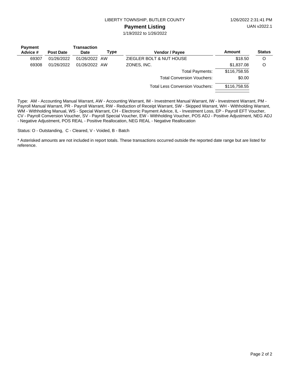LIBERTY TOWNSHIP, BUTLER COUNTY 1/26/2022 2:31:41 PM

#### **Payment Listing**

1/19/2022 to 1/26/2022

| <b>Payment</b> |                  | Transaction   |      |                                        |              |               |
|----------------|------------------|---------------|------|----------------------------------------|--------------|---------------|
| Advice #       | <b>Post Date</b> | <b>Date</b>   | Type | <b>Vendor / Payee</b>                  | Amount       | <b>Status</b> |
| 69307          | 01/26/2022       | 01/26/2022 AW |      | ZIEGLER BOLT & NUT HOUSE               | \$18.50      | O             |
| 69308          | 01/26/2022       | 01/26/2022 AW |      | ZONES, INC.                            | \$1,837.08   | O             |
|                |                  |               |      | <b>Total Payments:</b>                 | \$116,758.55 |               |
|                |                  |               |      | <b>Total Conversion Vouchers:</b>      | \$0.00       |               |
|                |                  |               |      | <b>Total Less Conversion Vouchers:</b> | \$116,758.55 |               |
|                |                  |               |      |                                        |              |               |

Type: AM - Accounting Manual Warrant, AW - Accounting Warrant, IM - Investment Manual Warrant, IW - Investment Warrant, PM - Payroll Manual Warrant, PR - Payroll Warrant, RW - Reduction of Receipt Warrant, SW - Skipped Warrant, WH - Withholding Warrant, WM - Withholding Manual, WS - Special Warrant, CH - Electronic Payment Advice, IL - Investment Loss, EP - Payroll EFT Voucher, CV - Payroll Conversion Voucher, SV - Payroll Special Voucher, EW - Withholding Voucher, POS ADJ - Positive Adjustment, NEG ADJ - Negative Adjustment, POS REAL - Positive Reallocation, NEG REAL - Negative Reallocation

Status: O - Outstanding, C - Cleared, V - Voided, B - Batch

\* Asterisked amounts are not included in report totals. These transactions occurred outside the reported date range but are listed for reference.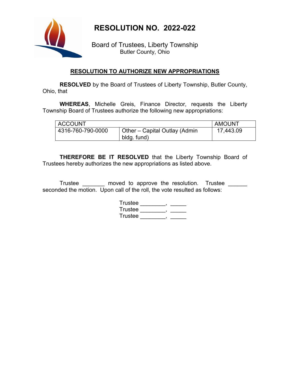

## **RESOLUTION NO. 2022-022**

Board of Trustees, Liberty Township Butler County, Ohio

#### **RESOLUTION TO AUTHORIZE NEW APPROPRIATIONS**

**RESOLVED** by the Board of Trustees of Liberty Township, Butler County, Ohio, that

**WHEREAS**, Michelle Greis, Finance Director, requests the Liberty Township Board of Trustees authorize the following new appropriations:

| <b>ACCOUNT</b>    |                                              | <b>AMOUNT</b> |
|-------------------|----------------------------------------------|---------------|
| 4316-760-790-0000 | Other – Capital Outlay (Admin<br>bldg. fund) | 17,443.09     |

**THEREFORE BE IT RESOLVED** that the Liberty Township Board of Trustees hereby authorizes the new appropriations as listed above.

Trustee \_\_\_\_\_\_\_ moved to approve the resolution. Trustee \_\_\_\_\_\_ seconded the motion. Upon call of the roll, the vote resulted as follows:

| Trustee |  |
|---------|--|
| Trustee |  |
| Trustee |  |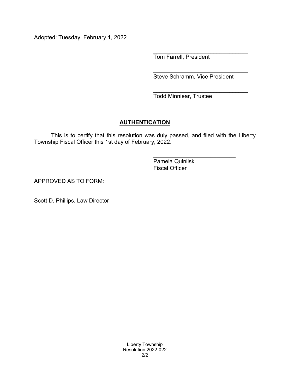Adopted: Tuesday, February 1, 2022

\_\_\_\_\_\_\_\_\_\_\_\_\_\_\_\_\_\_\_\_\_\_\_\_\_\_\_\_\_\_ Tom Farrell, President

\_\_\_\_\_\_\_\_\_\_\_\_\_\_\_\_\_\_\_\_\_\_\_\_\_\_\_\_\_\_ Steve Schramm, Vice President

\_\_\_\_\_\_\_\_\_\_\_\_\_\_\_\_\_\_\_\_\_\_\_\_\_\_\_\_\_\_ Todd Minniear, Trustee

#### **AUTHENTICATION**

This is to certify that this resolution was duly passed, and filed with the Liberty Township Fiscal Officer this 1st day of February, 2022.

> \_\_\_\_\_\_\_\_\_\_\_\_\_\_\_\_\_\_\_\_\_\_\_\_\_\_ Pamela Quinlisk Fiscal Officer

APPROVED AS TO FORM:

\_\_\_\_\_\_\_\_\_\_\_\_\_\_\_\_\_\_\_\_\_\_\_\_\_\_ Scott D. Phillips, Law Director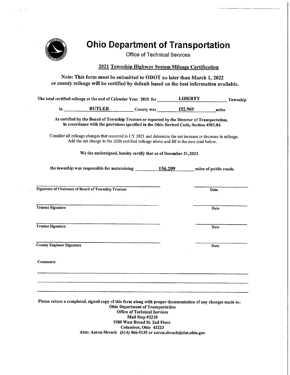

## **Ohio Department of Transportation**

**Office of Technical Services** 

#### 2021 Township Highway System Mileage Certification

Note: This form must be submitted to ODOT no later than March 1, 2022 or county mileage will be certified by default based on the best information available.

|    | The total certified mileage at the end of Calendar Year 2020 for |            | <b>LIBERTY</b>   | Township |
|----|------------------------------------------------------------------|------------|------------------|----------|
| in | <b>BUTLER</b>                                                    | County was | 152.969<br>miles |          |

As certified by the Board of Township Trustees or reported by the Director of Transportation. in accordance with the provisions specified in the Ohio Revised Code, Section 4501.04.

Consider all mileage changes that occurred in CY 2021 and determine the net increase or decrease in mileage. Add the net change to the 2020 certified mileage above and fill in the new total below.

We the undersigned, hereby certify that as of December 31,2021

the township was responsible for maintaining \_\_\_\_\_\_\_\_\_\_\_\_\_156.209 miles of public roads.

Date

Date

**Date** 

**Date** 

**Signature of Chairman of Board of Township Trustees** 

**Trustee Signature** 

**Trustee Signature** 

**County Engineer Signature** 

**Comments:** 

Please return a completed, signed copy of this form along with proper documentation of any changes made to: **Ohio Department of Transportation Office of Technical Services** Mail Stop #3210 1980 West Broad St. 2nd Floor Columbus, Ohio 43223 Attn: Aaron Shvach (614) 466-5135 or aaron.shvach@dot.ohio.gov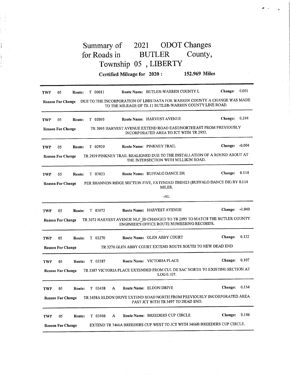#### 2021 ODOT Changes Summary of for Roads in **BUTLER** County, Township 05, LIBERTY

Certified Mileage for 2020: 152.969 Miles

| TWP        | 05                       | Route: | $T$ 00011 |   | Route Name: BUTLER-WARREN COUNTY L                                                                                                   | <b>Change:</b> | 0.001    |
|------------|--------------------------|--------|-----------|---|--------------------------------------------------------------------------------------------------------------------------------------|----------------|----------|
|            | <b>Reason For Change</b> |        |           |   | DUE TO THE INCORPORATION OF LBRS DATA FOR WARREN COUNTY A CHANGE WAS MADE<br>TO THE MILEAGE OF TR 11 BUTLER-WARREN COUNTY LINE ROAD. |                |          |
| TWP        | 05                       | Route: | $T$ 02095 |   | Route Name: HARVEST AVENUE                                                                                                           | <b>Change:</b> | 0.244    |
|            | <b>Reason For Change</b> |        |           |   | TR 2095 HARVEST AVENUE EXTEND ROAD EAST/NORTHEAST FROM PREVIOUSLY<br>INCORPORATED AREA TO JCT WITH TR 2952.                          |                |          |
| TWP        | 05                       | Route: | $T$ 02939 |   | Route Name: PINKNEY TRAIL                                                                                                            | Change: -0.004 |          |
|            | <b>Reason For Change</b> |        |           |   | TR 2939 PINKNEY TRAIL REALIGNED DUE TO THE INSTALLATION OF A ROUND ABOUT AT<br>THE INTERSECTION WITH MILLIKIN ROAD.                  |                |          |
| TWP        | 05                       | Route: | T 03023   |   | Route Name: BUFFALO DANCE DR<br>$\sim$                                                                                               | Change:        | 0.114    |
|            | <b>Reason For Change</b> |        |           |   | PER SHANNON RIDGE SECTION FIVE, EXTENDED TR03023 (BUFFALO DANCE DR) BY 0.114<br>MILES.                                               |                |          |
|            |                          |        |           |   | -AL                                                                                                                                  |                |          |
| TWP        | 05                       | Route: | $T$ 03072 |   | Route Name: HARVEST AVENUE                                                                                                           | <b>Change:</b> | $-0.040$ |
|            | <b>Reason For Change</b> |        |           |   | TR 3072 HARVEST AVENUE NLF_ID CHANGED TO TR 2095 TO MATCH THE BUTLER COUNTY<br>ENGINEER'S OFFICE ROUTE NUMBERING RECORDS.            |                |          |
| TWP        | 05                       | Route: | T 03270   |   | Route Name: GLEN ABBY COURT                                                                                                          | Change:        | 0.122    |
|            | <b>Reason For Change</b> |        |           |   | TR 3270 GLEN ABBY COURT EXTEND ROUTE SOUTH TO NEW DEAD END                                                                           |                |          |
| TWP        | 05                       | Route: | $T$ 03387 |   | Route Name: VICTORIA PLACE                                                                                                           | Change:        | 0.107    |
|            | <b>Reason For Change</b> |        |           |   | TR 3387 VICTORIA PLACE EXTENDED FROM CUL DE SAC NORTH TO EXISTING SECTION AT<br>LOG 0.107.                                           |                |          |
| <b>TWP</b> | 05                       | Route: | T 03458   | A | Route Name: ELDON DRIVE                                                                                                              | Change:        | 0.154    |
|            | <b>Reason For Change</b> |        |           |   | TR 3458A ELDON DRIVE EXTEND ROAD NORTH FROM PREVIOUSLY INCORPORATED AREA<br>PAST JCT WITH TR 3497 TO DEAD END.                       |                |          |
| TWP        | 05.                      | Route: | T 03466   | A | Route Name: BREEDERS CUP CIRCLE                                                                                                      | <b>Change:</b> | 0.146    |
|            | <b>Reason For Change</b> |        |           |   | EXTEND TR 3466A BREEDERS CUP WEST TO JCT WITH 3466B BREEDERS CUP CIRCLE.                                                             |                |          |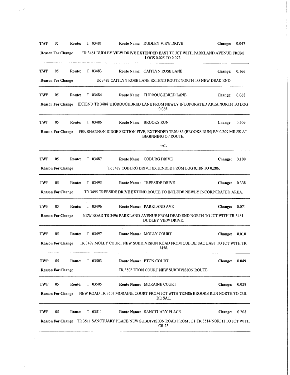| TWP        | 05                       | Route:                | T 03481   |        | Route Name: DUDLEY VIEW DRIVE                                                                                 | <b>Change:</b> | 0.047 |
|------------|--------------------------|-----------------------|-----------|--------|---------------------------------------------------------------------------------------------------------------|----------------|-------|
|            | <b>Reason For Change</b> |                       |           |        | TR 3481 DUDLEY VIEW DRIVE EXTENDED EAST TO JCT WITH PARKLAND AVENUE FROM<br>LOGS 0.025 TO 0.072.              |                |       |
| <b>TWP</b> | 05                       | Route:                | $T$ 03483 |        | Route Name: CAITLYN ROSE LANE                                                                                 | Change:        | 0.166 |
|            | <b>Reason For Change</b> |                       |           |        | TR 3483 CAITLYN ROSE LANE EXTEND ROUTE NORTH TO NEW DEAD END                                                  |                |       |
| <b>TWP</b> | 05.                      | Route:                | T 03484   |        | Route Name: THOROUGHBRED LANE                                                                                 | Change:        | 0.068 |
|            |                          |                       |           |        | Reason For Change EXTEND TR 3484 THOROUGHBRED LANE FROM NEWLY INCOPORATED AREA NORTH TO LOG<br>0.068.         |                |       |
| TWP        | 05                       | <b>Route:</b> T 03486 |           |        | Route Name: BROOKS RUN                                                                                        | Change:        | 0.209 |
|            | <b>Reason For Change</b> |                       |           |        | PER SHANNON RIDGE SECTION FIVE, EXTENDED TR03486 (BROOKS RUN) BY 0.209 MILES AT<br><b>BEGINNING OF ROUTE.</b> |                |       |
|            |                          |                       |           |        | -AL                                                                                                           |                |       |
| TWP        | 05                       | Route:                | T 03487   |        | Route Name: COBURG DRIVE                                                                                      | <b>Change:</b> | 0.100 |
|            | <b>Reason For Change</b> |                       |           |        | TR 3487 COBURG DRIVE EXTENDED FROM LOG 0.186 TO 0.286.                                                        |                |       |
| TWP        | 05                       | Route:                | T 03495   |        | Route Name: TREESIDE DRIVE                                                                                    | <b>Change:</b> | 0.338 |
|            | <b>Reason For Change</b> |                       |           |        | TR 3495 TREESIDE DRIVE EXTEND ROUTE TO INCLUDE NEWLY INCORPORATED AREA.                                       |                |       |
| <b>TWP</b> | 05                       | Route:                | T 03496   |        | Route Name: PARKLAND AVE                                                                                      | <b>Change:</b> | 0.071 |
|            | <b>Reason For Change</b> |                       |           |        | NEW ROAD TR 3496 PARKLAND AVENUE FROM DEAD END NORTH TO JCT WITH TR 3481<br>DUDLEY VIEW DRIVE.                |                |       |
| TWP        | 05                       | Route:                | T 03497   | $\sim$ | Route Name: MOLLY COURT                                                                                       | <b>Change:</b> | 0.010 |
|            | <b>Reason For Change</b> |                       |           |        | TR 3497 MOLLY COURT NEW SUBDIVISION ROAD FROM CUL DE SAC EAST TO JCT WITH TR<br>3458.                         |                |       |
| TWP        | 05                       | Route:                | $T$ 03503 |        | Route Name: ETON COURT                                                                                        | Change:        | 0.049 |
|            | <b>Reason For Change</b> |                       |           |        | TR 3503 ETON COURT NEW SUBDIVISION ROUTE.                                                                     |                |       |
| TWP        | 05                       | Route:                | T 03505   |        | Route Name: MORAINE COURT                                                                                     | Change:        | 0.028 |
|            | <b>Reason For Change</b> |                       |           |        | NEW ROAD TR 3505 MORAINE COURT FROM JCT WITH TR3486 BROOKS RUN NORTH TO CUL<br>DE SAC.                        |                |       |
| TWP        | 05                       | Route:                | $T$ 03511 |        | Route Name: SANCTUARY PLACE                                                                                   | <b>Change:</b> | 0.208 |
|            |                          |                       |           |        | Reason For Change TR 3511 SANCTUARY PLACE NEW SUBDIVISION ROAD FROM JCT TR 3514 NORTH TO JCT WITH<br>CR 23.   |                |       |
|            |                          |                       |           |        |                                                                                                               |                |       |

 $\bar{L}$ 

 $\hat{\mathcal{A}}_{\text{max}}$  and  $\hat{\mathcal{A}}_{\text{max}}$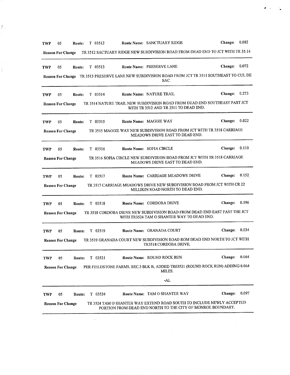| <b>TWP</b> |                                                                                                                                                 | 05                       | Route: |  | $T$ 03512      |  | Route Name: SANCTUARY RIDGE                                                                                                          | Change:        | 0.082 |  |
|------------|-------------------------------------------------------------------------------------------------------------------------------------------------|--------------------------|--------|--|----------------|--|--------------------------------------------------------------------------------------------------------------------------------------|----------------|-------|--|
|            |                                                                                                                                                 | <b>Reason For Change</b> |        |  |                |  | TR 3512 SACTUARY RIDGE NEW SUBDIVISION ROAD FROM DEAD END TO JCT WITH TR 35.14                                                       |                |       |  |
| <b>TWP</b> |                                                                                                                                                 | 05                       | Route: |  | T 03513        |  | Route Name: PRESERVE LANE                                                                                                            | Change: 0.072  |       |  |
|            |                                                                                                                                                 |                          |        |  |                |  | Reason For Change TR 3513 PRESERVE LANE NEW SUBDIVISION ROAD FROM JCT TR 3511 SOUTHEAST TO CUL DE<br>SAC.                            |                |       |  |
| <b>TWP</b> |                                                                                                                                                 | 05                       |        |  | Route: T 03514 |  | Route Name: NATURE TRAIL                                                                                                             | Change: 0.273  |       |  |
|            | TR 3514 NATURE TRAIL NEW SUBDIVISION ROAD FROM DEAD END SOUTHEAST PAST JCT<br><b>Reason For Change</b><br>WITH TR 3512 AND TR 3511 TO DEAD END. |                          |        |  |                |  |                                                                                                                                      |                |       |  |
| TWP        |                                                                                                                                                 | 05                       | Route: |  | T 03515        |  | Route Name: MAGGIE WAY                                                                                                               | Change: 0.022  |       |  |
|            | TR 3515 MAGGIE WAY NEW SUBDIVISION ROAD FROM JCT WITH TR 3518 CARRIAGE<br><b>Reason For Change</b><br>MEADOWS DRIVE EAST TO DEAD END.           |                          |        |  |                |  |                                                                                                                                      |                |       |  |
|            | <b>TWP</b>                                                                                                                                      | 05                       | Route: |  | T 03516        |  | Route Name: SOFIA CIRCLE                                                                                                             | Change:        | 0.110 |  |
|            |                                                                                                                                                 | <b>Reason For Change</b> |        |  |                |  | TR 3516 SOFIA CIRCLE NEW SUBDIVISION ROAD FROM JCT WITH TR 3518 CARRIAGE<br>MEADOWS DRIVE EAST TO DEAD END.                          |                |       |  |
|            | TWP                                                                                                                                             | 05                       | Route: |  | T 03517        |  | Route Name: CARRIAGE MEADOWS DRIVE                                                                                                   | <b>Change:</b> | 0.152 |  |
|            |                                                                                                                                                 | <b>Reason For Change</b> |        |  |                |  | TR 3517 CARRIAGE MEADOWS DRIVE NEW SUBDIVISION ROAD FROM JCT WITH CR 22<br>MILLIKIN ROAD NORTH TO DEAD END.                          |                |       |  |
|            | TWP                                                                                                                                             | 05                       | Route: |  | T 03518        |  | <b>Route Name: CORDOBA DRIVE</b>                                                                                                     | Change: 0.196  |       |  |
|            |                                                                                                                                                 | <b>Reason For Change</b> |        |  |                |  | TR 3518 CORDOBA DRIVE NEW SUBDIVISION ROAD FROM DEAD END EAST PAST THE JCT<br>WITH TR3524 TAM O SHANTER WAY TO DEAD END.             |                |       |  |
|            | <b>TWP</b>                                                                                                                                      | 0 <sub>5</sub>           | Route: |  | T 03519        |  | Route Name: GRANADA COURT                                                                                                            | Change: 0.034  |       |  |
|            |                                                                                                                                                 | <b>Reason For Change</b> |        |  |                |  | TR 3519 GRANADA COURT NEW SUBDIVISION ROAD ROM DEAD END NORTH TO JCT WITH<br>TR3518 CORDOBA DRIVE.                                   |                |       |  |
|            | TWP                                                                                                                                             | 05                       |        |  | Route: T 03521 |  | Route Name: ROUND ROCK RUN                                                                                                           | Change: 0.064  |       |  |
|            |                                                                                                                                                 | <b>Reason For Change</b> |        |  |                |  | PER FIELDSTONE FARMS, SEC.3 BLK B, ADDED TR03521 (ROUND ROCK RUN) ADDING 0.064<br>MILES.                                             |                |       |  |
|            |                                                                                                                                                 |                          |        |  |                |  | -AL                                                                                                                                  |                |       |  |
|            | <b>TWP</b>                                                                                                                                      | 05                       | Route: |  | T 03524        |  | Route Name: TAM O SHANTER WAY                                                                                                        | <b>Change:</b> | 0.097 |  |
|            |                                                                                                                                                 | <b>Reason For Change</b> |        |  |                |  | TR 3524 TAM O SHANTER WAY EXTEND ROAD SOUTH TO INCLUDE NEWLY ACCEPTED<br>PORTION FROM DEAD END NORTH TO THE CITY OF MONROE BOUNDARY. |                |       |  |

 $\begin{bmatrix} 1 & 1 \\ 1 & 1 \end{bmatrix}$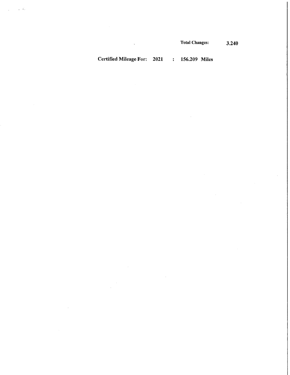$\bar{z}$ 

Certified Mileage For: 2021 : 156.209 Miles

 $\bar{\beta}$